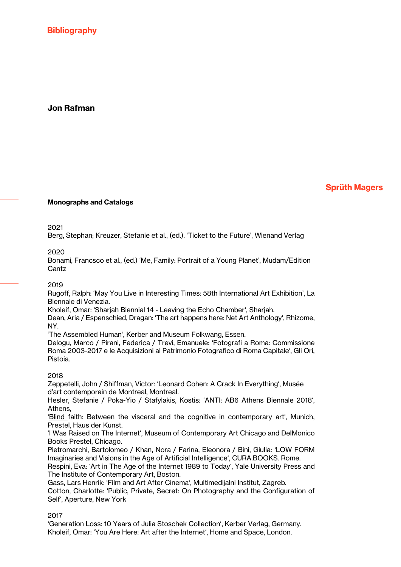**Bibliography** 

# Jon Rafman

## Sprüth Magers

### Monographs and Catalogs

2021

Berg, Stephan; Kreuzer, Stefanie et al., (ed.). 'Ticket to the Future', Wienand Verlag

2020

Bonami, Francsco et al., (ed.) 'Me, Family: Portrait of a Young Planet', Mudam/Edition Cantz

#### 2019

Rugoff, Ralph: 'May You Live in Interesting Times: 58th International Art Exhibition', La Biennale di Venezia.

Kholeif, Omar: 'Sharjah Biennial 14 - Leaving the Echo Chamber', Sharjah.

Dean, Aria / Espenschied, Dragan: 'The art happens here: Net Art Anthology', Rhizome, NY.

'The Assembled Human', Kerber and Museum Folkwang, Essen.

Delogu, Marco / Pirani, Federica / Trevi, Emanuele: 'Fotografi a Roma: Commissione Roma 2003-2017 e le Acquisizioni al Patrimonio Fotografico di Roma Capitale', Gli Ori, Pistoia.

#### 2018

Zeppetelli, John / Shiffman, Victor: 'Leonard Cohen: A Crack In Everything', Musée d'art contemporain de Montreal, Montreal.

Hesler, Stefanie / Poka-Yio / Stafylakis, Kostis: 'ANTI: AB6 Athens Biennale 2018', Athens,

'Blind faith: Between the visceral and the cognitive in contemporary art', Munich, Prestel, Haus der Kunst.

'I Was Raised on The Internet', Museum of Contemporary Art Chicago and DelMonico Books Prestel, Chicago.

Pietromarchi, Bartolomeo / Khan, Nora / Farina, Eleonora / Bini, Giulia: 'LOW FORM Imaginaries and Visions in the Age of Artificial Intelligence', CURA.BOOKS. Rome.

Respini, Eva: 'Art in The Age of the Internet 1989 to Today', Yale University Press and The Institute of Contemporary Art, Boston.

Gass, Lars Henrik: 'Film and Art After Cinema', Multimedijalni Institut, Zagreb. Cotton, Charlotte: 'Public, Private, Secret: On Photography and the Configuration of Self', Aperture, New York

2017

'Generation Loss: 10 Years of Julia Stoschek Collection', Kerber Verlag, Germany. Kholeif, Omar: 'You Are Here: Art after the Internet', Home and Space, London.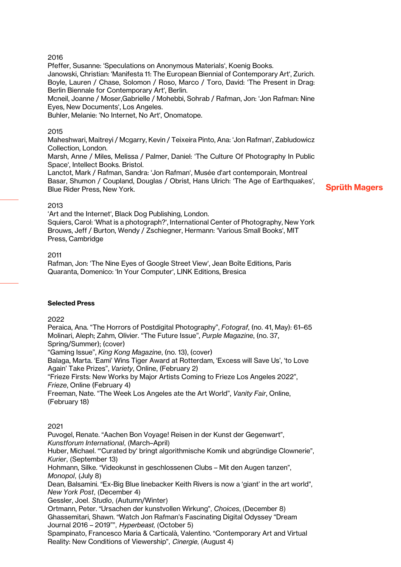### 2016

Pfeffer, Susanne: 'Speculations on Anonymous Materials', Koenig Books.

Janowski, Christian: 'Manifesta 11: The European Biennial of Contemporary Art', Zurich. Boyle, Lauren / Chase, Solomon / Roso, Marco / Toro, David: 'The Present in Drag: Berlin Biennale for Contemporary Art', Berlin.

Mcneil, Joanne / Moser,Gabrielle / Mohebbi, Sohrab / Rafman, Jon: 'Jon Rafman: Nine Eyes, New Documents', Los Angeles.

Buhler, Melanie: 'No Internet, No Art', Onomatope.

### 2015

Maheshwari, Maitreyi / Mcgarry, Kevin / Teixeira Pinto, Ana: 'Jon Rafman', Zabludowicz Collection, London.

Marsh, Anne / Miles, Melissa / Palmer, Daniel: 'The Culture Of Photography In Public Space', Intellect Books. Bristol.

Lanctot, Mark / Rafman, Sandra: 'Jon Rafman', Musée d'art contemporain, Montreal Basar, Shumon / Coupland, Douglas / Obrist, Hans Ulrich: 'The Age of Earthquakes', Blue Rider Press, New York.

### Sprüth Magers

### 2013

'Art and the Internet', Black Dog Publishing, London. Squiers, Carol: 'What is a photograph?', International Center of Photography, New York Brouws, Jeff / Burton, Wendy / Zschiegner, Hermann: 'Various Small Books', MIT Press, Cambridge

### 2011

Rafman, Jon: 'The Nine Eyes of Google Street View', Jean Boîte Editions, Paris Quaranta, Domenico: 'In Your Computer', LINK Editions, Bresica

#### Selected Press

### 2022

Peraica, Ana. "The Horrors of Postdigital Photography", *Fotograf*, (no. 41, May): 61–65 Molinari, Aleph; Zahm, Olivier. "The Future Issue", *Purple Magazine*, (no. 37, Spring/Summer); (cover) "Gaming Issue", *King Kong Magazine*, (no. 13), (cover) Balaga, Marta. 'Eami' Wins Tiger Award at Rotterdam, 'Excess will Save Us', 'to Love Again' Take Prizes", *Variety*, Online, (February 2) "Frieze Firsts: New Works by Major Artists Coming to Frieze Los Angeles 2022", *Frieze*, Online (February 4) Freeman, Nate. "The Week Los Angeles ate the Art World", *Vanity Fair*, Online, (February 18)

### 2021

Puvogel, Renate. "Aachen Bon Voyage! Reisen in der Kunst der Gegenwart", *Kunstforum International*, (March–April) Huber, Michael. "'Curated by' bringt algorithmische Komik und abgründige Clownerie", *Kurier*, (September 13) Hohmann, Silke. "Videokunst in geschlossenen Clubs – Mit den Augen tanzen", *Monopol*, (July 8) Dean, Balsamini. "Ex-Big Blue linebacker Keith Rivers is now a 'giant' in the art world", *New York Post*, (December 4) Gessler, Joel. *Studio*, (Autumn/Winter) Ortmann, Peter. "Ursachen der kunstvollen Wirkung", *Choices*, (December 8) Ghassemitari, Shawn. "Watch Jon Rafman's Fascinating Digital Odyssey "Dream Journal 2016 – 2019"", *Hyperbeast,* (October 5)

Spampinato, Francesco Maria & Carticalà, Valentino. "Contemporary Art and Virtual Reality: New Conditions of Viewership", *Cinergie*, (August 4)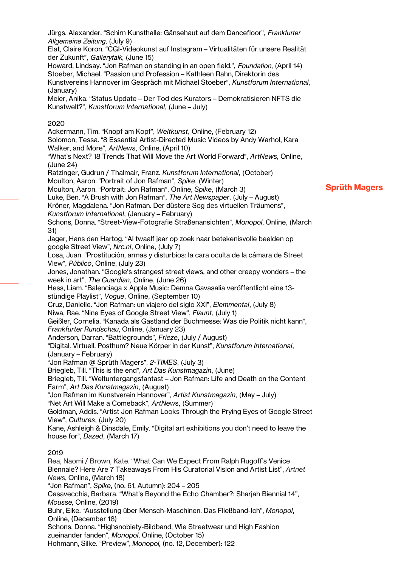*Allgemeine Zeitung*, (July 9) Elat, Claire Koron. "CGI-Videokunst auf Instagram – Virtualitäten für unsere Realität der Zukunft", *Gallerytalk*, (June 15) Howard, Lindsay. "Jon Rafman on standing in an open field.", *Foundation*, (April 14) Stoeber, Michael. "Passion und Profession – Kathleen Rahn, Direktorin des Kunstvereins Hannover im Gespräch mit Michael Stoeber", *Kunstforum International*, (January) Meier, Anika. "Status Update – Der Tod des Kurators – Demokratisieren NFTS die Kunstwelt?", *Kunstforum International*, (June – July) 2020 Ackermann, Tim. "Knopf am Kopf", *Weltkunst*, Online, (February 12) Solomon, Tessa. "8 Essential Artist-Directed Music Videos by Andy Warhol, Kara Walker, and More", *ArtNews*, Online, (April 10) "What's Next? 18 Trends That Will Move the Art World Forward", *ArtNews*, Online, (June 24) Ratzinger, Gudrun / Thalmair, Franz. *Kunstforum International*, (October) Moulton, Aaron. "Portrait of Jon Rafman", *Spike*, (Winter) Moulton, Aaron. "Portrait: Jon Rafman", Online, *Spike*, (March 3) Luke, Ben. "A Brush with Jon Rafman", *The Art Newspaper*, (July – August) Kröner, Magdalena. "Jon Rafman. Der düstere Sog des virtuellen Träumens", *Kunstforum International*, (January – February) Schons, Donna. "Street-View-Fotografie Straßenansichten", *Monopol*, Online, (March 31) Jager, Hans den Hartog. "Al twaalf jaar op zoek naar betekenisvolle beelden op google Street View", *Nrc.nl*, Online, (July 7) Losa, Juan. "Prostitución, armas y disturbios: la cara oculta de la cámara de Street View", *Público*, Online, (July 23) Jones, Jonathan. "Google's strangest street views, and other creepy wonders – the week in art", *The Guardian*, Online, (June 26) Hess, Liam. "Balenciaga x Apple Music: Demna Gavasalia veröffentlicht eine 13 stündige Playlist", *Vogue*, Online, (September 10) Cruz, Danielle. "Jon Rafman: un viajero del siglo XXI", *Elemmental*, (July 8) Niwa, Rae. "Nine Eyes of Google Street View", *Flaunt*, (July 1) Geißler, Cornelia. "Kanada als Gastland der Buchmesse: Was die Politik nicht kann", *Frankfurter Rundschau*, Online, (January 23) Anderson, Darran. "Battlegrounds", *Frieze*, (July / August) "Digital. Virtuell. Posthum? Neue Körper in der Kunst", *Kunstforum International*, (January – February) "Jon Rafman @ Sprüth Magers", *2-TIMES*, (July 3) Briegleb, Till. "This is the end", *Art Das Kunstmagazin*, (June) Briegleb, Till. "Weltuntergangsfantast – Jon Rafman: Life and Death on the Content Farm", *Art Das Kunstmagazin*, (August) "Jon Rafman im Kunstverein Hannover", *Artist Kunstmagazin*, (May – July) "Net Art Will Make a Comeback", *ArtNew*s, (Summer) Goldman, Addis. "Artist Jon Rafman Looks Through the Prying Eyes of Google Street View", *Cultures*, (July 20) Kane, Ashleigh & Dinsdale, Emily. "Digital art exhibitions you don't need to leave the house for", *Dazed*, (March 17) 2019 Rea, Naomi / Brown, Kate. "What Can We Expect From Ralph Rugoff's Venice Biennale? Here Are 7 Takeaways From His Curatorial Vision and Artist List", *Artnet News*, Online, (March 18) "Jon Rafman", *Spike*, (no. 61, Autumn): 204 – 205 Casavecchia, Barbara. "What's Beyond the Echo Chamber?: Sharjah Biennial 14", *Mousse,* Online, (2019) Buhr, Elke. "Ausstellung über Mensch-Maschinen. Das Fließband-Ich", *Monopol*, Online, (December 18) Schons, Donna. "Highsnobiety-Bildband, Wie Streetwear und High Fashion zueinander fanden", *Monopol*, Online, (October 15) Hohmann, Silke. "Preview", *Monopol,* (no. 12, December): 122

Jürgs, Alexander. "Schirn Kunsthalle: Gänsehaut auf dem Dancefloor", *Frankfurter*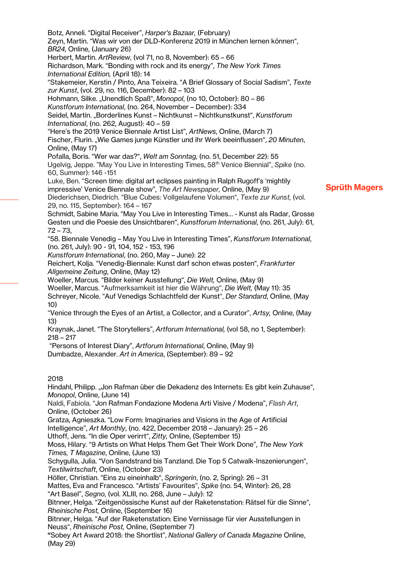Sprüth Magers Zeyn, Martin. "Was wir von der DLD-Konferenz 2019 in München lernen können", *BR24,* Online, (January 26) Herbert, Martin. *ArtReview*, (vol 71, no 8, November): 65 – 66 Richardson, Mark. "Bonding with rock and its energy", *The New York Times International Edition,* (April 18): 14 "Stakemeier, Kerstin / Pinto, Ana Teixeira. "A Brief Glossary of Social Sadism", *Texte zur Kunst*, (vol. 29, no. 116, December): 82 – 103 Hohmann, Silke. "Unendlich Spaß", Monopol, (no 10, October): 80 - 86 *Kunstforum International*, (no. 264, November – December): 334 Seidel, Martin. "Borderlines Kunst – Nichtkunst – Nichtkunstkunst", *Kunstforum International*, (no. 262, August): 40 – 59 "Here's the 2019 Venice Biennale Artist List", *ArtNews*, Online, (March 7) Fischer, Flurin. "Wie Games junge Künstler und ihr Werk beeinflussen", *20 Minuten*, Online, (May 17) Pofalla, Boris. "Wer war das?", *Welt am Sonntag,* (no. 51, December 22): 55 Ugelvig, Jeppe. "May You Live in Interesting Times, 58th Venice Biennial", *Spike* (no. 60, Summer): 146 -151 Luke, Ben. "Screen time: digital art eclipses painting in Ralph Rugoff's 'mightily impressive' Venice Biennale show", *The Art Newspaper,* Online, (May 9) Diederichsen, Diedrich. "Blue Cubes: Vollgelaufene Volumen", *Texte zur Kunst,* (vol. 29, no. 115, September): 164 – 167 Schmidt, Sabine Maria. "May You Live in Interesting Times… - Kunst als Radar, Grosse Gesten und die Poesie des Unsichtbaren", *Kunstforum International*, (no. 261, July): 61, 72 – 73, "58. Biennale Venedig – May You Live in Interesting Times", *Kunstforum International*, (no. 261, July): 90 - 91, 104, 152 - 153, 196 *Kunstforum International*, (no. 260, May – June): 22 Reichert, Kolja. "Venedig-Biennale: Kunst darf schon etwas posten", *Frankfurter Allgemeine Zeitung*, Online, (May 12) Woeller, Marcus. "Bilder keiner Ausstellung", *Die Welt,* Online, (May 9) Woeller, Marcus. "Aufmerksamkeit ist hier die Währung", *Die Welt,* (May 11): 35 Schreyer, Nicole. "Auf Venedigs Schlachtfeld der Kunst", *Der Standard*, Online, (May 10) "Venice through the Eyes of an Artist, a Collector, and a Curator", *Artsy,* Online, (May 13) Kraynak, Janet. "The Storytellers", *Artforum International,* (vol 58, no 1, September): 218 – 217 "Persons of Interest Diary", *Artforum International*, Online, (May 9) Dumbadze, Alexander. *Art in America*, (September): 89 – 92 2018 Hindahl, Philipp. "Jon Rafman über die Dekadenz des Internets: Es gibt kein Zuhause", *Monopol*, Online, (June 14) Naldi, Fabiola. "Jon Rafman Fondazione Modena Arti Visive / Modena", *Flash Art*, Online, (October 26) Gratza, Agnieszka. "Low Form: Imaginaries and Visions in the Age of Artificial Intelligence", *Art Monthly*, (no. 422, December 2018 – January): 25 – 26 Uthoff, Jens. "In die Oper verirrt", *Zitty,* Online, (September 15) Moss, Hilary. "9 Artists on What Helps Them Get Their Work Done", *The New York Times, T Magazine*, Online, (June 13) Schygulla, Julia. "Von Sandstrand bis Tanzland. Die Top 5 Catwalk-Inszenierungen", *Textilwirtschaft*, Online, (October 23) Höller, Christian. "Eins zu eineinhalb", *Springerin*, (no. 2, Spring): 26 – 31 Mattes, Eva and Francesco. "Artists' Favourites", *Spike* (no. 54, Winter): 26, 28 "Art Basel", *Segno*, (vol. XLIII, no. 268, June – July): 12 Bitnner, Helga. "Zeitgenössische Kunst auf der Raketenstation: Rätsel für die Sinne", *Rheinische Post,* Online, (September 16) Bitnner, Helga. "Auf der Raketenstation: Eine Vernissage für vier Ausstellungen in Neuss", *Rheinische Post,* Online, (September 7) "Sobey Art Award 2018: the Shortlist", *National Gallery of Canada Magazine* Online, (May 29)

Botz, Anneli. "Digital Receiver", *Harper's Bazaar,* (February)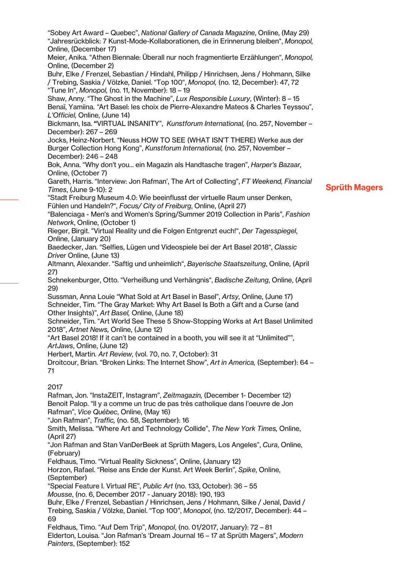Sprüth Magers Online, (December 17) Meier, Anika. "Athen Biennale: Überall nur noch fragmentierte Erzählungen", *Monopol,* Online, (December 2) Buhr, Elke / Frenzel, Sebastian / Hindahl, Philipp / Hinrichsen, Jens / Hohmann, Silke / Trebing, Saskia / Völzke, Daniel. "Top 100", *Monopol,* (no. 12, December): 47, 72 "Tune In", *Monopol,* (no. 11, November): 18 – 19 Shaw, Anny. "The Ghost in the Machine", *Lux Responsible Luxury*, (Winter): 8 – 15 Benaï, Yamiina. *"*Art Basel: les choix de Pierre-Alexandre Mateos & Charles Teyssou", *L'Officiel,* Online, (June 14) Bickmann, Isa. "VIRTUAL INSANITY", *Kunstforum International,* (no. 257, November – December): 267 – 269 Jocks, Heinz-Norbert. "Neuss HOW TO SEE (WHAT ISN'T THERE) Werke aus der Burger Collection Hong Kong", *Kunstforum International,* (no. 257, November – December): 246 – 248 Bok, Anna. "Why don't you... ein Magazin als Handtasche tragen", *Harper's Bazaar,* Online, (October 7) Gareth, Harris. "Interview: Jon Rafman', The Art of Collecting", *FT Weekend, Financial Times*, (June 9-10): 2 "Stadt Freiburg Museum 4.0: Wie beeinflusst der virtuelle Raum unser Denken, Fühlen und Handeln?", *Focus/ City of Freiburg*, Online, (April 27) "Balenciaga - Men's and Women's Spring/Summer 2019 Collection in Paris", *Fashion Network*, Online, (October 1) Rieger, Birgit. "Virtual Reality und die Folgen Entgrenzt euch!", *Der Tagesspiegel*, Online, (January 20) Baedecker, Jan. "Selfies, Lügen und Videospiele bei der Art Basel 2018", *Classic Driver* Online, (June 13) Altmann, Alexander. "Saftig und unheimlich", *Bayerische Staatszeitung*, Online, (April 27) Schnekenburger, Otto. "Verheißung und Verhängnis"' *Badische Zeitung*, Online, (April 29) Sussman, Anna Louie "What Sold at Art Basel in Basel", *Artsy*, Online, (June 17) Schneider, Tim. "The Gray Market: Why Art Basel Is Both a Gift and a Curse (and Other Insights)", *Art Basel,* Online, (June 18) Schneider, Tim. "Art World See These 5 Show-Stopping Works at Art Basel Unlimited 2018", *Artnet News,* Online, (June 12) "Art Basel 2018! If it can't be contained in a booth, you will see it at "Unlimited"", *ArtJaws*, Online, (June 12) Herbert, Martin. *Art Review*, (vol. 70, no. 7, October): 31 Droitcour, Brian. "Broken Links: The Internet Show", *Art in America,* (September): 64 – 71 2017 Rafman, Jon. "InstaZEIT, Instagram", *Zeitmagazin,* (December 1- December 12) Benoit Palop. "Il y a comme un truc de pas très catholique dans l'oeuvre de Jon Rafman", *Vice Québec*, Online, (May 16) "Jon Rafman", *Traffic,* (no. 58, September): 16 Smith, Melissa. "Where Art and Technology Collide", *The New York Times,* Online, (April 27) "Jon Rafman and Stan VanDerBeek at Sprüth Magers, Los Angeles", *Cura*, Online, (February) Feldhaus, Timo. "Virtual Reality Sickness", Online, (January 12) Horzon, Rafael. "Reise ans Ende der Kunst. Art Week Berlin", *Spike*, Online, (September) "Special Feature I. Virtual RE", *Public Art* (no. 133, October): 36 – 55 *Mousse*, (no. 6, December 2017 - January 2018): 190, 193 Buhr, Elke / Frenzel, Sebastian / Hinrichsen, Jens / Hohmann, Silke / Jenal, David / Trebing, Saskia / Völzke, Daniel. "Top 100", *Monopol*, (no. 12/2017, December): 44 – 69 Feldhaus, Timo. "Auf Dem Trip", *Monopol*, (no. 01/2017, January): 72 – 81 Elderton, Louisa. "Jon Rafman's 'Dream Journal 16 – 17 at Sprüth Magers", *Modern Painters*, (September): 152

"Sobey Art Award – Quebec", *National Gallery of Canada Magazine*, Online, (May 29) "Jahresrückblick: 7 Kunst-Mode-Kollaborationen, die in Erinnerung bleiben", *Monopol,*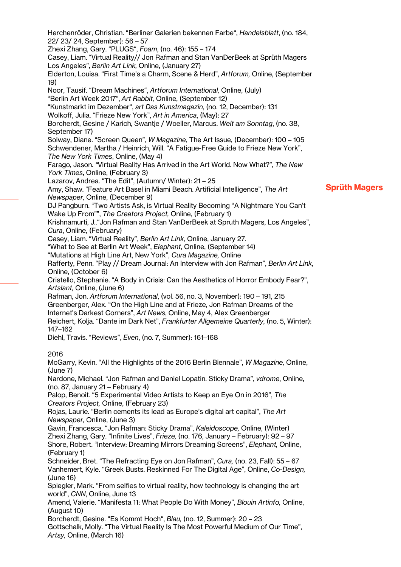Sprüth Magers Herchenröder, Christian. "Berliner Galerien bekennen Farbe", *Handelsblatt*, (no. 184, 22/ 23/ 24, September): 56 – 57 Zhexi Zhang, Gary. "PLUGS", *Foam*, (no. 46): 155 – 174 Casey, Liam. "Virtual Reality// Jon Rafman and Stan VanDerBeek at Sprüth Magers Los Angeles", *Berlin Art Link,* Online, (January 27) Elderton, Louisa. "First Time's a Charm, Scene & Herd", *Artforum,* Online, (September 19) Noor, Tausif. "Dream Machines", *Artforum International,* Online, (July) "Berlin Art Week 2017", *Art Rabbit,* Online, (September 12) "Kunstmarkt im Dezember", *art Das Kunstmagazin*, (no. 12, December): 131 Wolkoff, Julia. "Frieze New York", *Art in America*, (May): 27 Borcherdt, Gesine / Karich, Swantje / Woeller, Marcus. *Welt am Sonntag*, (no. 38, September 17) Solway, Diane. "Screen Queen", *W Magazine*, The Art Issue, (December): 100 – 105 Schwendener, Martha / Heinrich, Will. "A Fatigue-Free Guide to Frieze New York", *The New York Times*, Online, (May 4) Farago, Jason. *"*Virtual Reality Has Arrived in the Art World. Now What?", *The New York Times*, Online, (February 3) Lazarov, Andrea. "The Edit", (Autumn/ Winter): 21 – 25 Amy, Shaw. "Feature Art Basel in Miami Beach. Artificial Intelligence", *The Art Newspaper,* Online, (December 9) DJ Pangburn. "Two Artists Ask, is Virtual Reality Becoming "A Nightmare You Can't Wake Up From"", *The Creators Project,* Online, (February 1) Krishnamurti, J.."Jon Rafman and Stan VanDerBeek at Spruth Magers, Los Angeles", *Cura*, Online, (February) Casey, Liam. "Virtual Reality", *Berlin Art Link,* Online, January 27. "What to See at Berlin Art Week", *Elephant*, Online, (September 14) "Mutations at High Line Art, New York", *Cura Magazine,* Online Rafferty, Penn. "Play // Dream Journal: An Interview with Jon Rafman", *Berlin Art Link*, Online, (October 6) Cristello, Stephanie. "A Body in Crisis: Can the Aesthetics of Horror Embody Fear?", *Artslant,* Online, (June 6) Rafman, Jon. *Artforum International*, (vol. 56, no. 3, November): 190 – 191, 215 Greenberger, Alex. "On the High Line and at Frieze, Jon Rafman Dreams of the Internet's Darkest Corners", *Art News*, Online, May 4, Alex Greenberger Reichert, Kolja. "Dante im Dark Net", *Frankfurter Allgemeine Quarterly*, (no. 5, Winter): 147–162 Diehl, Travis. "Reviews", *Even*, (no. 7, Summer): 161–168 2016 McGarry, Kevin. "All the Highlights of the 2016 Berlin Biennale", *W Magazine,* Online, (June 7) Nardone, Michael. "Jon Rafman and Daniel Lopatin. Sticky Drama", *vdrome*, Online, (no. 87, January 21 – February 4) Palop, Benoit. "5 Experimental Video Artists to Keep an Eye On in 2016", *The Creators Project,* Online, (February 23) Rojas, Laurie. "Berlin cements its lead as Europe's digital art capital", *The Art Newspaper,* Online, (June 3) Gavin, Francesca. "Jon Rafman: Sticky Drama", *Kaleidoscope,* Online, (Winter) Zhexi Zhang, Gary. "Infinite Lives", *Frieze,* (no. 176, January – February): 92 – 97 Shore, Robert. "Interview: Dreaming Mirrors Dreaming Screens", *Elephant,* Online, (February 1) Schneider, Bret. "The Refracting Eye on Jon Rafman", *Cura,* (no. 23, Fall): 55 – 67 Vanhemert, Kyle. "Greek Busts. Reskinned For The Digital Age", Online, *Co-Design,* (June 16) Spiegler, Mark. "From selfies to virtual reality, how technology is changing the art world", *CNN*, Online, June 13 Amend, Valerie. "Manifesta 11: What People Do With Money", *Blouin Artinfo,* Online, (August 10) Borcherdt, Gesine. "Es Kommt Hoch", *Blau,* (no. 12, Summer): 20 – 23 Gottschalk, Molly. "The Virtual Reality Is The Most Powerful Medium of Our Time", *Artsy,* Online, (March 16)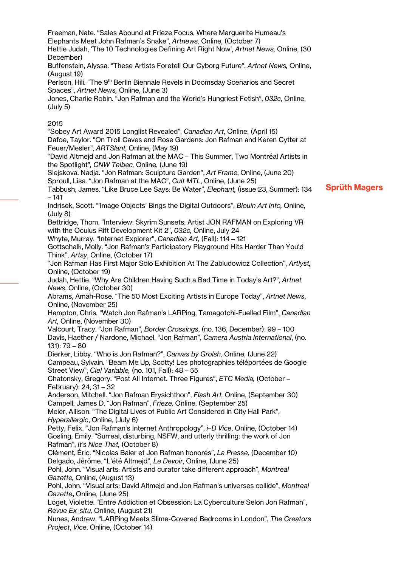Freeman, Nate. "Sales Abound at Frieze Focus, Where Marguerite Humeau's Elephants Meet John Rafman's Snake", *Artnews,* Online, (October 7) Hettie Judah, 'The 10 Technologies Defining Art Right Now', *Artnet News,* Online, (30 December) Buffenstein, Alyssa. "These Artists Foretell Our Cyborg Future", *Artnet News,* Online,

(August 19)

Perlson, Hili. "The 9<sup>th</sup> Berlin Biennale Revels in Doomsday Scenarios and Secret Spaces", *Artnet News,* Online, (June 3)

Jones, Charlie Robin. "Jon Rafman and the World's Hungriest Fetish", *032c,* Online, (July 5)

## 2015

"Sobey Art Award 2015 Longlist Revealed", *Canadian Art,* Online, (April 15) Dafoe, Taylor. "On Troll Caves and Rose Gardens: Jon Rafman and Keren Cytter at Feuer/Mesler", *ARTSlant,* Online, (May 19)

"David Altmejd and Jon Rafman at the MAC – This Summer, Two Montréal Artists in the Spotlight"*, CNW Telbec,* Online, (June 19)

Slejskova. Nadja. "Jon Rafman: Sculpture Garden", *Art Frame*, Online, (June 20) Sproull, Lisa. "Jon Rafman at the MAC", *Cult MTL*, Online, (June 25)

Tabbush, James. "Like Bruce Lee Says: Be Water", *Elephant,* (issue 23, Summer): 134 – 141

Indrisek, Scott. "'Image Objects' Bings the Digital Outdoors", *Blouin Art Info,* Online, (July 8)

Bettridge, Thom. "Interview: Skyrim Sunsets: Artist JON RAFMAN on Exploring VR with the Oculus Rift Development Kit 2", *032c,* Online, July 24

Whyte, Murray. "Internet Explorer", *Canadian Art,* (Fall): 114 – 121

Gottschalk, Molly. "Jon Rafman's Participatory Playground Hits Harder Than You'd Think", *Artsy*, Online, (October 17)

"Jon Rafman Has First Major Solo Exhibition At The Zabludowicz Collection", *Artlyst,* Online, (October 19)

Judah, Hettie. "Why Are Children Having Such a Bad Time in Today's Art?", *Artnet News*, Online, (October 30)

Abrams, Amah-Rose. "The 50 Most Exciting Artists in Europe Today", *Artnet News*, Online, (November 25)

Hampton, Chris. "Watch Jon Rafman's LARPing, Tamagotchi-Fuelled Film", *Canadian Art,* Online, (November 30)

Valcourt, Tracy. "Jon Rafman", *Border Crossings*, (no. 136, December): 99 – 100 Davis, Haether / Nardone, Michael. "Jon Rafman", *Camera Austria International*, (no. 131): 79 – 80

Dierker, Libby. "Who is Jon Rafman?", *Canvas by Grolsh,* Online, (June 22) Campeau, Sylvain. "Beam Me Up, Scotty! Les photographies téléportées de Google Street View", *Ciel Variable,* (no. 101, Fall): 48 – 55

Chatonsky, Gregory. "Post All Internet. Three Figures", *ETC Media,* (October – February): 24, 31 – 32

Anderson, Mitchell. "Jon Rafman Erysichthon", *Flash Art,* Online, (September 30) Campell, James D. "Jon Rafman", *Frieze,* Online, (September 25)

Meier, Allison. "The Digital Lives of Public Art Considered in City Hall Park", *Hyperallergic*, Online, (July 6)

Petty, Felix. "Jon Rafman's Internet Anthropology", *i–D Vice*, Online, (October 14) Gosling, Emily. "Surreal, disturbing, NSFW, and utterly thrilling: the work of Jon Rafman", *It's Nice That,* (October 8)

Clément, Éric. "Nicolas Baier et Jon Rafman honorés", *La Presse,* (December 10) Delgado, Jérôme. "L'été Altmejd", *Le Devoir*, Online, (June 25)

Pohl, John. "Visual arts: Artists and curator take different approach", *Montreal Gazette,* Online, (August 13)

Pohl, John. "Visual arts: David Altmejd and Jon Rafman's universes collide", *Montreal Gazette*, Online, (June 25)

Loget, Violette. "Entre Addiction et Obsession: La Cyberculture Selon Jon Rafman", *Revue Ex\_situ,* Online, (August 21)

Nunes, Andrew. "LARPing Meets Slime-Covered Bedrooms in London", *The Creators Project*, *Vice*, Online, (October 14)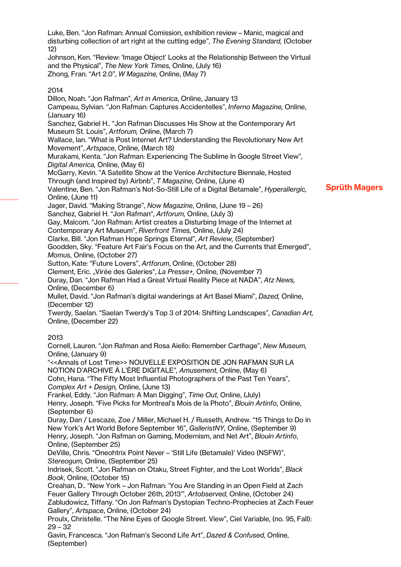Luke, Ben. "Jon Rafman: Annual Comission, exhibition review – Manic, magical and disturbing collection of art right at the cutting edge", *The Evening Standard,* (October 12)

Johnson, Ken. "Review: 'Image Object' Looks at the Relationship Between the Virtual and the Physical", *The New York Times,* Online, (July 16) Zhong, Fran. "Art 2.0", *W Magazine,* Online, (May 7)

### 2014

Sprüth Magers Dillon, Noah. "Jon Rafman", *Art in America*, Online, January 13 Campeau, Sylvian. "Jon Rafman: Captures Accidentelles", *Inferno Magazine,* Online, (January 16) Sanchez, Gabriel H.. "Jon Rafman Discusses His Show at the Contemporary Art Museum St. Louis", *Artforum,* Online, (March 7) Wallace, Ian. "What is Post Internet Art? Understanding the Revolutionary New Art Movement", *Artspace*, Online, (March 18) Murakami, Kenta. "Jon Rafman: Experiencing The Sublime In Google Street View", *Digital America,* Online, (May 6) McGarry, Kevin. "A Satellite Show at the Venice Architecture Biennale, Hosted Through (and Inspired by) Airbnb", *T Magazine,* Online, (June 4) Valentine, Ben. "Jon Rafman's Not-So-Still Life of a Digital Betamale", *Hyperallergic,* Online, (June 11) Jager, David. "Making Strange", *Now Magazine*, Online, (June 19 – 26) Sanchez, Gabriel H. "Jon Rafman", *Artforum,* Online, (July 3) Gay, Malcom. "Jon Rafman: Artist creates a Disturbing Image of the Internet at Contemporary Art Museum", *Riverfront Times,* Online, (July 24) Clarke, Bill. "Jon Rafman Hope Springs Eternal", *Art Review,* (September) Goodden, Sky. "Feature Art Fair's Focus on the Art, and the Currents that Emerged", *Momus,* Online, (October 27) Sutton, Kate: "Future Lovers", *Artforum*, Online, (October 28) Clement, Eric. "Virée des Galeries", *La Presse+,* Online, (November 7) Duray, Dan. "Jon Rafman Had a Great Virtual Reality Piece at NADA", *Atz News,* Online, (December 6) Mullet, David. "Jon Rafman's digital wanderings at Art Basel Miami", *Dazed,* Online, (December 12) Twerdy, Saelan. "Saelan Twerdy's Top 3 of 2014: Shifting Landscapes", *Canadian Art,* Online, (December 22) 2013 Cornell, Lauren. "Jon Rafman and Rosa Aiello: Remember Carthage", *New Museum,*  Online, (January 9) "<<Annals of Lost Time>> NOUVELLE EXPOSITION DE JON RAFMAN SUR LA NOTION D'ARCHIVE À L'ÈRE DIGITALE"*, Amusement,* Online, (May 6) Cohn, Hana. "The Fifty Most Influential Photographers of the Past Ten Years", *Complex Art + Design,* Online, (June 13) Frankel, Eddy. "Jon Rafman: A Man Digging", *Time Out,* Online, (July) Henry, Joseph. "Five Picks for Montreal's Mois de la Photo", *Blouin Artinfo*, Online, (September 6) Duray, Dan / Lescaze, Zoe / Miller, Michael H. / Russeth, Andrew. "15 Things to Do in New York's Art World Before September 16", *GalleristNY,* Online, (September 9) Henry, Joseph. "Jon Rafman on Gaming, Modernism, and Net Art", *Blouin Artinfo*, Online, (September 25) DeVille, Chris. "Oneohtrix Point Never – 'Still Life (Betamale)' Video (NSFW)", *Stereogum,* Online, (September 25) Indrisek, Scott. "Jon Rafman on Otaku, Street Fighter, and the Lost Worlds", *Black Book*, Online, (October 15) Creahan, D.. "New York – Jon Rafman: 'You Are Standing in an Open Field at Zach Feuer Gallery Through October 26th, 2013'", *Artobserved*, Online, (October 24) Zabludowicz, Tiffany. "On Jon Rafman's Dystopian Techno-Prophecies at Zach Feuer Gallery", *Artspace*, Online, (October 24) Proulx, Christelle. "The Nine Eyes of Google Street. View", Ciel Variable, (no. 95, Fall): 29 – 32

Gavin, Francesca. "Jon Rafman's Second Life Art", *Dazed & Confused,* Online, (September)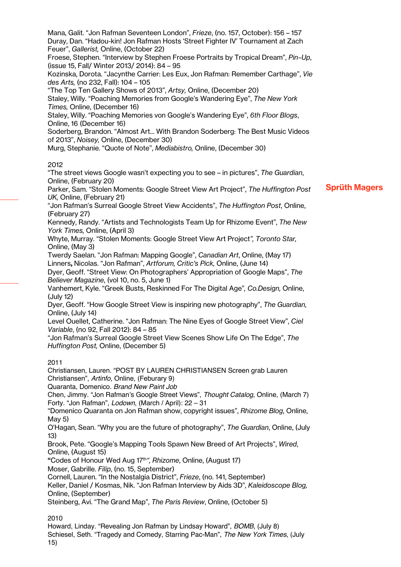Mana, Galit. "Jon Rafman Seventeen London", *Frieze*, (no. 157, October): 156 – 157 Duray, Dan. "Hadou-kin! Jon Rafman Hosts 'Street Fighter IV' Tournament at Zach Feuer", *Gallerist,* Online, (October 22)

Froese, Stephen. "Interview by Stephen Froese Portraits by Tropical Dream", *Pin–Up*, (issue 15, Fall/ Winter 2013/ 2014): 84 – 95

Kozinska, Dorota. "Jacynthe Carrier: Les Eux, Jon Rafman: Remember Carthage", *Vie des Arts,* (no 232, Fall): 104 – 105

"The Top Ten Gallery Shows of 2013", *Artsy,* Online, (December 20)

Staley, Willy. "Poaching Memories from Google's Wandering Eye", *The New York Times,* Online, (December 16)

Staley, Willy. "Poaching Memories von Google's Wandering Eye", *6th Floor Blogs*, Online, 16 (December 16)

Soderberg, Brandon. "Almost Art... With Brandon Soderberg: The Best Music Videos of 2013", *Noisey,* Online, (December 30)

Murg, Stephanie. "Quote of Note", *Mediabistro,* Online, (December 30)

### 2012

"The street views Google wasn't expecting you to see – in pictures", *The Guardian*, Online, (February 20)

Parker, Sam. "Stolen Moments: Google Street View Art Project", *The Huffington Post UK,* Online, (February 21)

"Jon Rafman's Surreal Google Street View Accidents", *The Huffington Post*, Online, (February 27)

Kennedy, Randy. "Artists and Technologists Team Up for Rhizome Event", *The New York Times,* Online, (April 3)

Whyte, Murray. "Stolen Moments: Google Street View Art Project*", Toronto Star,* Online, (May 3)

Twerdy Saelan. "Jon Rafman: Mapping Google", *Canadian Art*, Online, (May 17) Linners, Nicolas. "Jon Rafman", *Artforum, Critic's Pick,* Online, (June 14)

Dyer, Geoff. "Street View: On Photographers' Appropriation of Google Maps", *The Believer Magazine*, (vol 10, no. 5, June 1)

Vanhemert, Kyle. "Greek Busts, Reskinned For The Digital Age"*, Co.Design,* Online, (July 12)

Dyer, Geoff. "How Google Street View is inspiring new photography", *The Guardian,* Online, (July 14)

Level Ouellet, Catherine. "Jon Rafman: The Nine Eyes of Google Street View", *Ciel Variable*, (no 92, Fall 2012): 84 – 85

"Jon Rafman's Surreal Google Street View Scenes Show Life On The Edge", *The Huffington Post,* Online, (December 5)

### 2011

Christiansen, Lauren. "POST BY LAUREN CHRISTIANSEN Screen grab Lauren Christiansen", *Artinfo*, Online, (Feburary 9)

Quaranta, Domenico. *Brand New Paint Job*

Chen, Jimmy. "Jon Rafman's Google Street Views", *Thought Catalog*, Online, (March 7) Forty. "Jon Rafman", *Lodown*, (March / April): 22 – 31

"Domenico Quaranta on Jon Rafman show, copyright issues", *Rhizome Blog*, Online, May 5)

O'Hagan, Sean. "Why you are the future of photography", *The Guardian*, Online, (July 13)

Brook, Pete. "Google's Mapping Tools Spawn New Breed of Art Projects", *Wired*, Online, (August 15)

"Codes of Honour Wed Aug 17th*", Rhizome*, Online, (August 17)

Moser, Gabrille. *Filip*, (no. 15, September)

Cornell, Lauren. "In the Nostalgia District", *Frieze*, (no. 141, September)

Keller, Daniel / Kosmas, Nik. "Jon Rafman Interview by Aids 3D"*, Kaleidoscope Blog,*  Online, (September)

Steinberg, Avi. "The Grand Map", *The Paris Review*, Online, (October 5)

2010

Howard, Linday. "Revealing Jon Rafman by Lindsay Howard", *BOMB*, (July 8) Schiesel, Seth. "Tragedy and Comedy, Starring Pac-Man", *The New York Times*, (July 15)